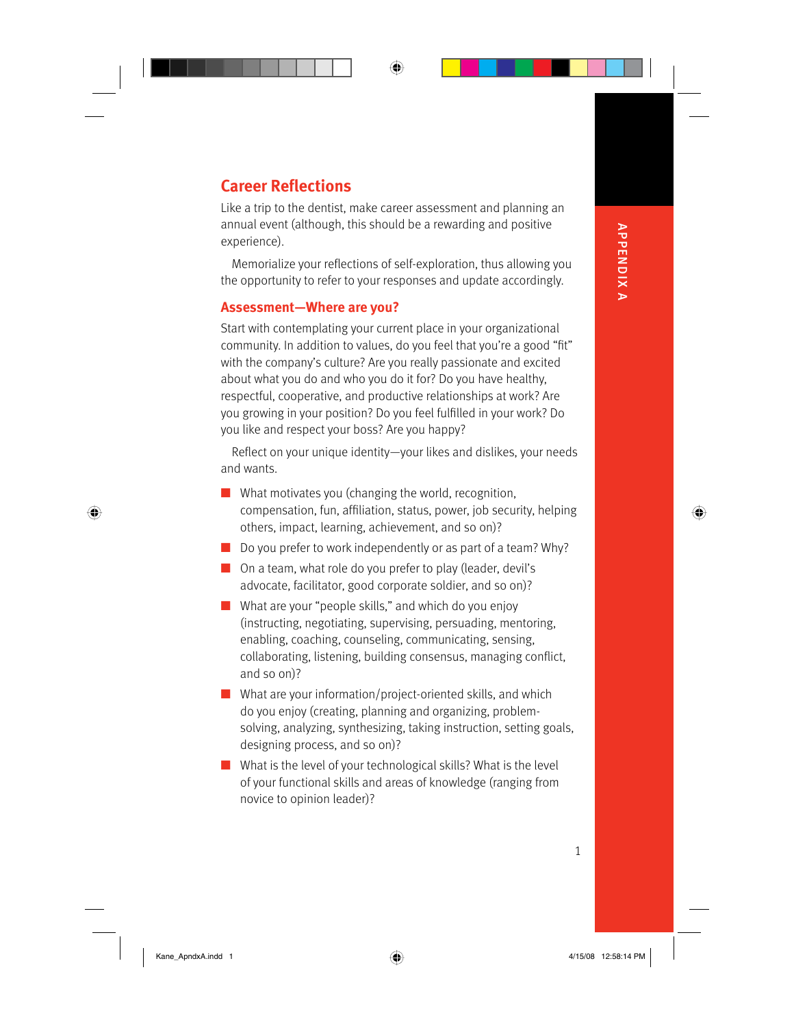# **APPENDIXA** APPENDIX A

⊕

⊕

# **Career Reflections**

Like a trip to the dentist, make career assessment and planning an annual event (although, this should be a rewarding and positive experience).

Memorialize your reflections of self-exploration, thus allowing you the opportunity to refer to your responses and update accordingly.

### **Assessment—Where are you?**

Start with contemplating your current place in your organizational community. In addition to values, do you feel that you're a good "fit" with the company's culture? Are you really passionate and excited about what you do and who you do it for? Do you have healthy, respectful, cooperative, and productive relationships at work? Are you growing in your position? Do you feel fulfilled in your work? Do you like and respect your boss? Are you happy?

Reflect on your unique identity-your likes and dislikes, your needs and wants.

- What motivates you (changing the world, recognition, compensation, fun, affiliation, status, power, job security, helping others, impact, learning, achievement, and so on)?
- Do you prefer to work independently or as part of a team? Why?
- On a team, what role do you prefer to play (leader, devil's advocate, facilitator, good corporate soldier, and so on)?
- What are your "people skills," and which do you enjoy (instructing, negotiating, supervising, persuading, mentoring, enabling, coaching, counseling, communicating, sensing, collaborating, listening, building consensus, managing conflict, and so on)?
- What are your information/project-oriented skills, and which do you enjoy (creating, planning and organizing, problemsolving, analyzing, synthesizing, taking instruction, setting goals, designing process, and so on)?
- What is the level of your technological skills? What is the level of your functional skills and areas of knowledge (ranging from novice to opinion leader)?

 $\bigoplus$